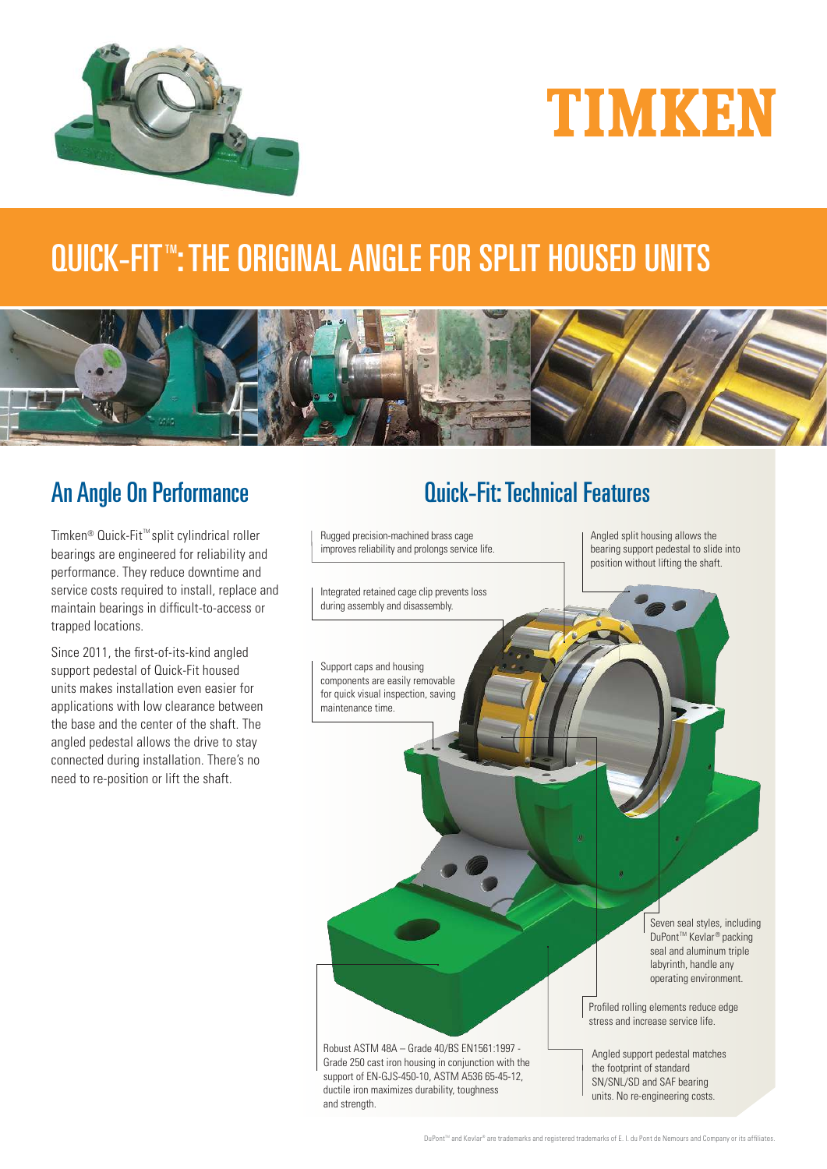



# QUICK-FIT™: THE ORIGINAL ANGLE FOR SPLIT HOUSED UNITS



## An Angle On Performance

Timken® Quick-Fit<sup>™</sup> split cylindrical roller bearings are engineered for reliability and performance. They reduce downtime and service costs required to install, replace and maintain bearings in difficult-to-access or trapped locations.

Since 2011, the first-of-its-kind angled support pedestal of Quick-Fit housed units makes installation even easier for applications with low clearance between the base and the center of the shaft. The angled pedestal allows the drive to stay connected during installation. There's no need to re-position or lift the shaft.

# Quick-Fit: Technical Features

Angled split housing allows the bearing support pedestal to slide into position without lifting the shaft. Rugged precision-machined brass cage improves reliability and prolongs service life. Support caps and housing components are easily removable for quick visual inspection, saving maintenance time. Robust ASTM 48A – Grade 40/BS EN1561:1997 - Grade 250 cast iron housing in conjunction with the support of EN-GJS-450-10, ASTM A536 65-45-12, ductile iron maximizes durability, toughness and strength. Integrated retained cage clip prevents loss during assembly and disassembly. Profiled rolling elements reduce edge stress and increase service life. Angled support pedestal matches the footprint of standard SN/SNL/SD and SAF bearing units. No re-engineering costs. Seven seal styles, including DuPont<sup>™</sup> Kevlar<sup>®</sup> packing seal and aluminum triple labyrinth, handle any operating environment.